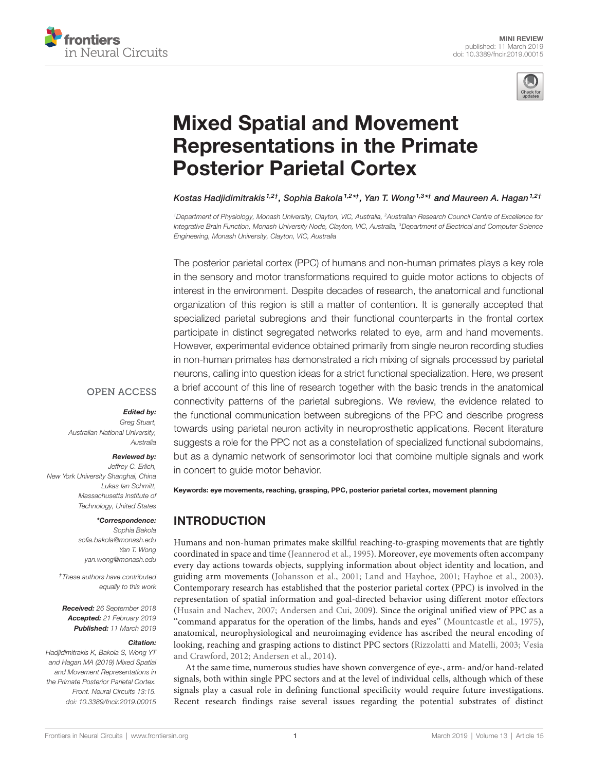



# Mixed Spatial and Movement Representations in the Primate Posterior Parietal Cortex

Kostas Hadjidimitrakis <sup>1,2†</sup>, Sophia Bakola <sup>1,2</sup>\*<sup>†</sup>, Yan T. Wong <sup>1,3</sup>\*† and Maureen A. Hagan <sup>1,2†</sup>

<sup>1</sup>Department of Physiology, Monash University, Clayton, VIC, Australia, <sup>2</sup>Australian Research Council Centre of Excellence for Integrative Brain Function, Monash University Node, Clayton, VIC, Australia, <sup>3</sup>Department of Electrical and Computer Science Engineering, Monash University, Clayton, VIC, Australia

The posterior parietal cortex (PPC) of humans and non-human primates plays a key role in the sensory and motor transformations required to guide motor actions to objects of interest in the environment. Despite decades of research, the anatomical and functional organization of this region is still a matter of contention. It is generally accepted that specialized parietal subregions and their functional counterparts in the frontal cortex participate in distinct segregated networks related to eye, arm and hand movements. However, experimental evidence obtained primarily from single neuron recording studies in non-human primates has demonstrated a rich mixing of signals processed by parietal neurons, calling into question ideas for a strict functional specialization. Here, we present a brief account of this line of research together with the basic trends in the anatomical connectivity patterns of the parietal subregions. We review, the evidence related to the functional communication between subregions of the PPC and describe progress towards using parietal neuron activity in neuroprosthetic applications. Recent literature suggests a role for the PPC not as a constellation of specialized functional subdomains, but as a dynamic network of sensorimotor loci that combine multiple signals and work in concert to guide motor behavior.

#### **OPEN ACCESS**

#### Edited by:

Greg Stuart, Australian National University, Australia

#### Reviewed by:

Jeffrey C. Erlich, New York University Shanghai, China Lukas Ian Schmitt, Massachusetts Institute of Technology, United States

#### \*Correspondence:

Sophia Bakola sofia.bakola@monash.edu Yan T. Wong yan.wong@monash.edu

†These authors have contributed equally to this work

Received: 26 September 2018 Accepted: 21 February 2019 Published: 11 March 2019

#### Citation:

Hadjidimitrakis K, Bakola S, Wong YT and Hagan MA (2019) Mixed Spatial and Movement Representations in the Primate Posterior Parietal Cortex. Front. Neural Circuits 13:15. doi: 10.3389/fncir.2019.00015 Keywords: eye movements, reaching, grasping, PPC, posterior parietal cortex, movement planning

# INTRODUCTION

Humans and non-human primates make skillful reaching-to-grasping movements that are tightly coordinated in space and time (Jeannerod et al., 1995). Moreover, eye movements often accompany every day actions towards objects, supplying information about object identity and location, and guiding arm movements (Johansson et al., 2001; Land and Hayhoe, 2001; Hayhoe et al., 2003). Contemporary research has established that the posterior parietal cortex (PPC) is involved in the representation of spatial information and goal-directed behavior using different motor effectors (Husain and Nachev, 2007; Andersen and Cui, 2009). Since the original unified view of PPC as a ''command apparatus for the operation of the limbs, hands and eyes'' (Mountcastle et al., 1975), anatomical, neurophysiological and neuroimaging evidence has ascribed the neural encoding of looking, reaching and grasping actions to distinct PPC sectors (Rizzolatti and Matelli, 2003; Vesia and Crawford, 2012; Andersen et al., 2014).

At the same time, numerous studies have shown convergence of eye-, arm- and/or hand-related signals, both within single PPC sectors and at the level of individual cells, although which of these signals play a casual role in defining functional specificity would require future investigations. Recent research findings raise several issues regarding the potential substrates of distinct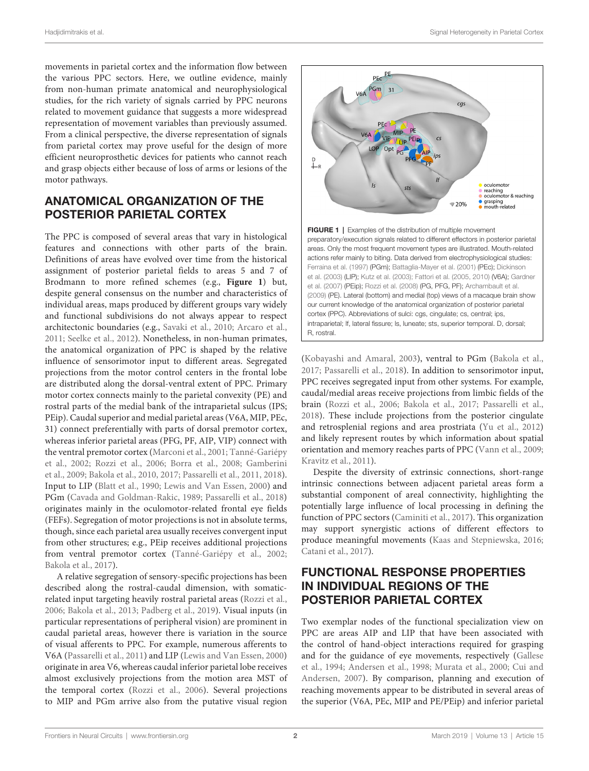movements in parietal cortex and the information flow between the various PPC sectors. Here, we outline evidence, mainly from non-human primate anatomical and neurophysiological studies, for the rich variety of signals carried by PPC neurons related to movement guidance that suggests a more widespread representation of movement variables than previously assumed. From a clinical perspective, the diverse representation of signals from parietal cortex may prove useful for the design of more efficient neuroprosthetic devices for patients who cannot reach and grasp objects either because of loss of arms or lesions of the motor pathways.

## ANATOMICAL ORGANIZATION OF THE POSTERIOR PARIETAL CORTEX

The PPC is composed of several areas that vary in histological features and connections with other parts of the brain. Definitions of areas have evolved over time from the historical assignment of posterior parietal fields to areas 5 and 7 of Brodmann to more refined schemes (e.g., **Figure 1**) but, despite general consensus on the number and characteristics of individual areas, maps produced by different groups vary widely and functional subdivisions do not always appear to respect architectonic boundaries (e.g., Savaki et al., 2010; Arcaro et al., 2011; Seelke et al., 2012). Nonetheless, in non-human primates, the anatomical organization of PPC is shaped by the relative influence of sensorimotor input to different areas. Segregated projections from the motor control centers in the frontal lobe are distributed along the dorsal-ventral extent of PPC. Primary motor cortex connects mainly to the parietal convexity (PE) and rostral parts of the medial bank of the intraparietal sulcus (IPS; PEip). Caudal superior and medial parietal areas (V6A, MIP, PEc, 31) connect preferentially with parts of dorsal premotor cortex, whereas inferior parietal areas (PFG, PF, AIP, VIP) connect with the ventral premotor cortex (Marconi et al., 2001; Tanné-Gariépy et al., 2002; Rozzi et al., 2006; Borra et al., 2008; Gamberini et al., 2009; Bakola et al., 2010, 2017; Passarelli et al., 2011, 2018). Input to LIP (Blatt et al., 1990; Lewis and Van Essen, 2000) and PGm (Cavada and Goldman-Rakic, 1989; Passarelli et al., 2018) originates mainly in the oculomotor-related frontal eye fields (FEFs). Segregation of motor projections is not in absolute terms, though, since each parietal area usually receives convergent input from other structures; e.g., PEip receives additional projections from ventral premotor cortex (Tanné-Gariépy et al., 2002; Bakola et al., 2017).

A relative segregation of sensory-specific projections has been described along the rostral-caudal dimension, with somaticrelated input targeting heavily rostral parietal areas (Rozzi et al., 2006; Bakola et al., 2013; Padberg et al., 2019). Visual inputs (in particular representations of peripheral vision) are prominent in caudal parietal areas, however there is variation in the source of visual afferents to PPC. For example, numerous afferents to V6A (Passarelli et al., 2011) and LIP (Lewis and Van Essen, 2000) originate in area V6, whereas caudal inferior parietal lobe receives almost exclusively projections from the motion area MST of the temporal cortex (Rozzi et al., 2006). Several projections to MIP and PGm arrive also from the putative visual region



(Kobayashi and Amaral, 2003), ventral to PGm (Bakola et al., 2017; Passarelli et al., 2018). In addition to sensorimotor input, PPC receives segregated input from other systems. For example, caudal/medial areas receive projections from limbic fields of the brain (Rozzi et al., 2006; Bakola et al., 2017; Passarelli et al., 2018). These include projections from the posterior cingulate and retrosplenial regions and area prostriata (Yu et al., 2012) and likely represent routes by which information about spatial orientation and memory reaches parts of PPC (Vann et al., 2009; Kravitz et al., 2011).

Despite the diversity of extrinsic connections, short-range intrinsic connections between adjacent parietal areas form a substantial component of areal connectivity, highlighting the potentially large influence of local processing in defining the function of PPC sectors (Caminiti et al., 2017). This organization may support synergistic actions of different effectors to produce meaningful movements (Kaas and Stepniewska, 2016; Catani et al., 2017).

# FUNCTIONAL RESPONSE PROPERTIES IN INDIVIDUAL REGIONS OF THE POSTERIOR PARIETAL CORTEX

Two exemplar nodes of the functional specialization view on PPC are areas AIP and LIP that have been associated with the control of hand-object interactions required for grasping and for the guidance of eye movements, respectively (Gallese et al., 1994; Andersen et al., 1998; Murata et al., 2000; Cui and Andersen, 2007). By comparison, planning and execution of reaching movements appear to be distributed in several areas of the superior (V6A, PEc, MIP and PE/PEip) and inferior parietal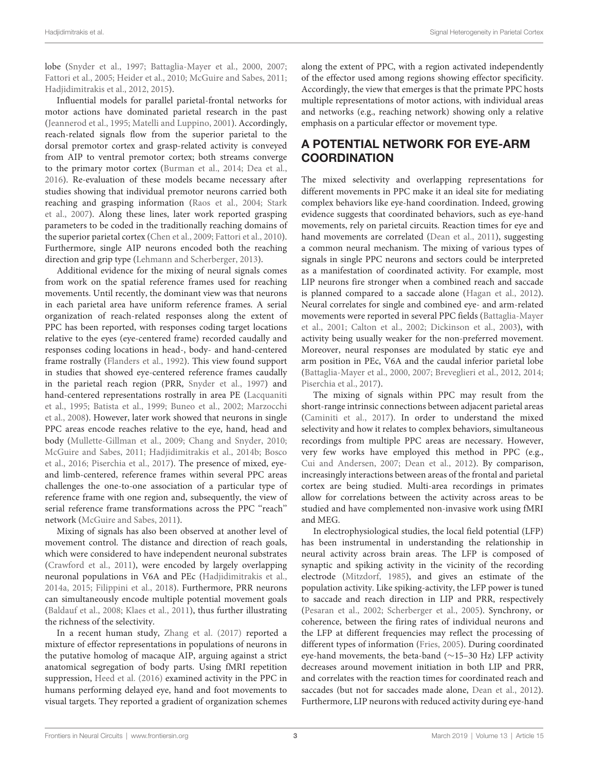lobe (Snyder et al., 1997; Battaglia-Mayer et al., 2000, 2007; Fattori et al., 2005; Heider et al., 2010; McGuire and Sabes, 2011; Hadjidimitrakis et al., 2012, 2015).

Influential models for parallel parietal-frontal networks for motor actions have dominated parietal research in the past (Jeannerod et al., 1995; Matelli and Luppino, 2001). Accordingly, reach-related signals flow from the superior parietal to the dorsal premotor cortex and grasp-related activity is conveyed from AIP to ventral premotor cortex; both streams converge to the primary motor cortex (Burman et al., 2014; Dea et al., 2016). Re-evaluation of these models became necessary after studies showing that individual premotor neurons carried both reaching and grasping information (Raos et al., 2004; Stark et al., 2007). Along these lines, later work reported grasping parameters to be coded in the traditionally reaching domains of the superior parietal cortex (Chen et al., 2009; Fattori et al., 2010). Furthermore, single AIP neurons encoded both the reaching direction and grip type (Lehmann and Scherberger, 2013).

Additional evidence for the mixing of neural signals comes from work on the spatial reference frames used for reaching movements. Until recently, the dominant view was that neurons in each parietal area have uniform reference frames. A serial organization of reach-related responses along the extent of PPC has been reported, with responses coding target locations relative to the eyes (eye-centered frame) recorded caudally and responses coding locations in head-, body- and hand-centered frame rostrally (Flanders et al., 1992). This view found support in studies that showed eye-centered reference frames caudally in the parietal reach region (PRR, Snyder et al., 1997) and hand-centered representations rostrally in area PE (Lacquaniti et al., 1995; Batista et al., 1999; Buneo et al., 2002; Marzocchi et al., 2008). However, later work showed that neurons in single PPC areas encode reaches relative to the eye, hand, head and body (Mullette-Gillman et al., 2009; Chang and Snyder, 2010; McGuire and Sabes, 2011; Hadjidimitrakis et al., 2014b; Bosco et al., 2016; Piserchia et al., 2017). The presence of mixed, eyeand limb-centered, reference frames within several PPC areas challenges the one-to-one association of a particular type of reference frame with one region and, subsequently, the view of serial reference frame transformations across the PPC "reach" network (McGuire and Sabes, 2011).

Mixing of signals has also been observed at another level of movement control. The distance and direction of reach goals, which were considered to have independent neuronal substrates (Crawford et al., 2011), were encoded by largely overlapping neuronal populations in V6A and PEc (Hadjidimitrakis et al., 2014a, 2015; Filippini et al., 2018). Furthermore, PRR neurons can simultaneously encode multiple potential movement goals (Baldauf et al., 2008; Klaes et al., 2011), thus further illustrating the richness of the selectivity.

In a recent human study, Zhang et al. (2017) reported a mixture of effector representations in populations of neurons in the putative homolog of macaque AIP, arguing against a strict anatomical segregation of body parts. Using fMRI repetition suppression, Heed et al. (2016) examined activity in the PPC in humans performing delayed eye, hand and foot movements to visual targets. They reported a gradient of organization schemes along the extent of PPC, with a region activated independently of the effector used among regions showing effector specificity. Accordingly, the view that emerges is that the primate PPC hosts multiple representations of motor actions, with individual areas and networks (e.g., reaching network) showing only a relative emphasis on a particular effector or movement type.

# A POTENTIAL NETWORK FOR EYE-ARM **COORDINATION**

The mixed selectivity and overlapping representations for different movements in PPC make it an ideal site for mediating complex behaviors like eye-hand coordination. Indeed, growing evidence suggests that coordinated behaviors, such as eye-hand movements, rely on parietal circuits. Reaction times for eye and hand movements are correlated (Dean et al., 2011), suggesting a common neural mechanism. The mixing of various types of signals in single PPC neurons and sectors could be interpreted as a manifestation of coordinated activity. For example, most LIP neurons fire stronger when a combined reach and saccade is planned compared to a saccade alone (Hagan et al., 2012). Neural correlates for single and combined eye- and arm-related movements were reported in several PPC fields (Battaglia-Mayer et al., 2001; Calton et al., 2002; Dickinson et al., 2003), with activity being usually weaker for the non-preferred movement. Moreover, neural responses are modulated by static eye and arm position in PEc, V6A and the caudal inferior parietal lobe (Battaglia-Mayer et al., 2000, 2007; Breveglieri et al., 2012, 2014; Piserchia et al., 2017).

The mixing of signals within PPC may result from the short-range intrinsic connections between adjacent parietal areas (Caminiti et al., 2017). In order to understand the mixed selectivity and how it relates to complex behaviors, simultaneous recordings from multiple PPC areas are necessary. However, very few works have employed this method in PPC (e.g., Cui and Andersen, 2007; Dean et al., 2012). By comparison, increasingly interactions between areas of the frontal and parietal cortex are being studied. Multi-area recordings in primates allow for correlations between the activity across areas to be studied and have complemented non-invasive work using fMRI and MEG.

In electrophysiological studies, the local field potential (LFP) has been instrumental in understanding the relationship in neural activity across brain areas. The LFP is composed of synaptic and spiking activity in the vicinity of the recording electrode (Mitzdorf, 1985), and gives an estimate of the population activity. Like spiking-activity, the LFP power is tuned to saccade and reach direction in LIP and PRR, respectively (Pesaran et al., 2002; Scherberger et al., 2005). Synchrony, or coherence, between the firing rates of individual neurons and the LFP at different frequencies may reflect the processing of different types of information (Fries, 2005). During coordinated eye-hand movements, the beta-band (∼15–30 Hz) LFP activity decreases around movement initiation in both LIP and PRR, and correlates with the reaction times for coordinated reach and saccades (but not for saccades made alone, Dean et al., 2012). Furthermore, LIP neurons with reduced activity during eye-hand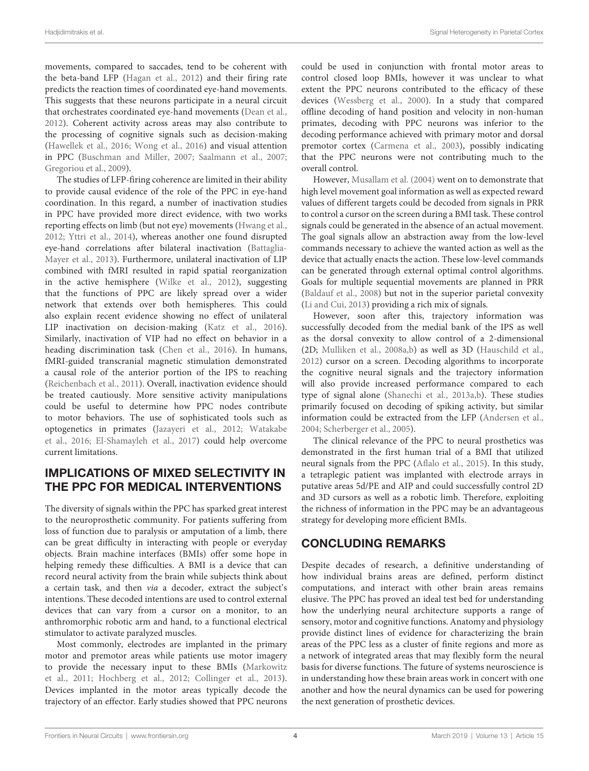movements, compared to saccades, tend to be coherent with the beta-band LFP (Hagan et al., 2012) and their firing rate predicts the reaction times of coordinated eye-hand movements. This suggests that these neurons participate in a neural circuit that orchestrates coordinated eye-hand movements (Dean et al., 2012). Coherent activity across areas may also contribute to the processing of cognitive signals such as decision-making (Hawellek et al., 2016; Wong et al., 2016) and visual attention in PPC (Buschman and Miller, 2007; Saalmann et al., 2007; Gregoriou et al., 2009).

The studies of LFP-firing coherence are limited in their ability to provide causal evidence of the role of the PPC in eye-hand coordination. In this regard, a number of inactivation studies in PPC have provided more direct evidence, with two works reporting effects on limb (but not eye) movements (Hwang et al., 2012; Yttri et al., 2014), whereas another one found disrupted eye-hand correlations after bilateral inactivation (Battaglia-Mayer et al., 2013). Furthermore, unilateral inactivation of LIP combined with fMRI resulted in rapid spatial reorganization in the active hemisphere (Wilke et al., 2012), suggesting that the functions of PPC are likely spread over a wider network that extends over both hemispheres. This could also explain recent evidence showing no effect of unilateral LIP inactivation on decision-making (Katz et al., 2016). Similarly, inactivation of VIP had no effect on behavior in a heading discrimination task (Chen et al., 2016). In humans, fMRI-guided transcranial magnetic stimulation demonstrated a causal role of the anterior portion of the IPS to reaching (Reichenbach et al., 2011). Overall, inactivation evidence should be treated cautiously. More sensitive activity manipulations could be useful to determine how PPC nodes contribute to motor behaviors. The use of sophisticated tools such as optogenetics in primates (Jazayeri et al., 2012; Watakabe et al., 2016; El-Shamayleh et al., 2017) could help overcome current limitations.

# IMPLICATIONS OF MIXED SELECTIVITY IN THE PPC FOR MEDICAL INTERVENTIONS

The diversity of signals within the PPC has sparked great interest to the neuroprosthetic community. For patients suffering from loss of function due to paralysis or amputation of a limb, there can be great difficulty in interacting with people or everyday objects. Brain machine interfaces (BMIs) offer some hope in helping remedy these difficulties. A BMI is a device that can record neural activity from the brain while subjects think about a certain task, and then via a decoder, extract the subject's intentions. These decoded intentions are used to control external devices that can vary from a cursor on a monitor, to an anthromorphic robotic arm and hand, to a functional electrical stimulator to activate paralyzed muscles.

Most commonly, electrodes are implanted in the primary motor and premotor areas while patients use motor imagery to provide the necessary input to these BMIs (Markowitz et al., 2011; Hochberg et al., 2012; Collinger et al., 2013). Devices implanted in the motor areas typically decode the trajectory of an effector. Early studies showed that PPC neurons could be used in conjunction with frontal motor areas to control closed loop BMIs, however it was unclear to what extent the PPC neurons contributed to the efficacy of these devices (Wessberg et al., 2000). In a study that compared offline decoding of hand position and velocity in non-human primates, decoding with PPC neurons was inferior to the decoding performance achieved with primary motor and dorsal premotor cortex (Carmena et al., 2003), possibly indicating that the PPC neurons were not contributing much to the overall control.

However, Musallam et al. (2004) went on to demonstrate that high level movement goal information as well as expected reward values of different targets could be decoded from signals in PRR to control a cursor on the screen during a BMI task. These control signals could be generated in the absence of an actual movement. The goal signals allow an abstraction away from the low-level commands necessary to achieve the wanted action as well as the device that actually enacts the action. These low-level commands can be generated through external optimal control algorithms. Goals for multiple sequential movements are planned in PRR (Baldauf et al., 2008) but not in the superior parietal convexity (Li and Cui, 2013) providing a rich mix of signals.

However, soon after this, trajectory information was successfully decoded from the medial bank of the IPS as well as the dorsal convexity to allow control of a 2-dimensional (2D; Mulliken et al., 2008a,b) as well as 3D (Hauschild et al., 2012) cursor on a screen. Decoding algorithms to incorporate the cognitive neural signals and the trajectory information will also provide increased performance compared to each type of signal alone (Shanechi et al., 2013a,b). These studies primarily focused on decoding of spiking activity, but similar information could be extracted from the LFP (Andersen et al., 2004; Scherberger et al., 2005).

The clinical relevance of the PPC to neural prosthetics was demonstrated in the first human trial of a BMI that utilized neural signals from the PPC (Aflalo et al., 2015). In this study, a tetraplegic patient was implanted with electrode arrays in putative areas 5d/PE and AIP and could successfully control 2D and 3D cursors as well as a robotic limb. Therefore, exploiting the richness of information in the PPC may be an advantageous strategy for developing more efficient BMIs.

# CONCLUDING REMARKS

Despite decades of research, a definitive understanding of how individual brains areas are defined, perform distinct computations, and interact with other brain areas remains elusive. The PPC has proved an ideal test bed for understanding how the underlying neural architecture supports a range of sensory, motor and cognitive functions. Anatomy and physiology provide distinct lines of evidence for characterizing the brain areas of the PPC less as a cluster of finite regions and more as a network of integrated areas that may flexibly form the neural basis for diverse functions. The future of systems neuroscience is in understanding how these brain areas work in concert with one another and how the neural dynamics can be used for powering the next generation of prosthetic devices.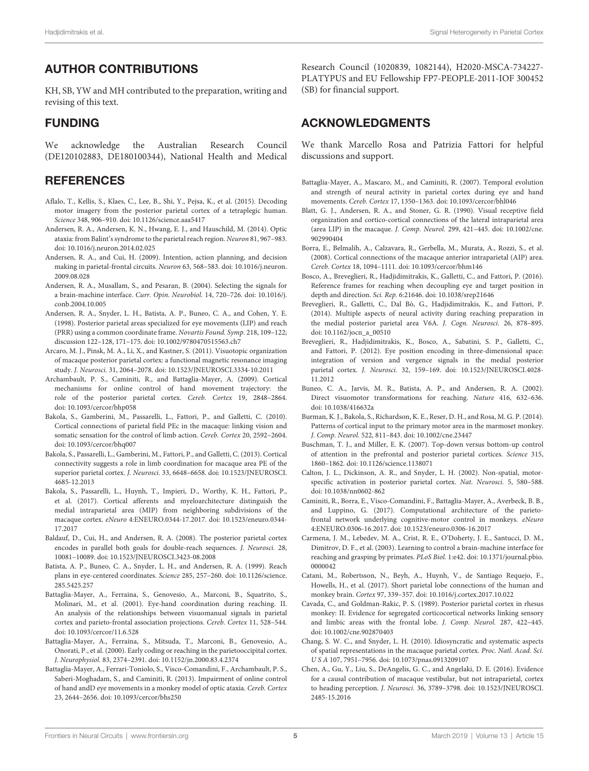# AUTHOR CONTRIBUTIONS

KH, SB, YW and MH contributed to the preparation, writing and revising of this text.

## FUNDING

We acknowledge the Australian Research Council (DE120102883, DE180100344), National Health and Medical

#### **REFERENCES**

- Aflalo, T., Kellis, S., Klaes, C., Lee, B., Shi, Y., Pejsa, K., et al. (2015). Decoding motor imagery from the posterior parietal cortex of a tetraplegic human. Science 348, 906–910. doi: 10.1126/science.aaa5417
- Andersen, R. A., Andersen, K. N., Hwang, E. J., and Hauschild, M. (2014). Optic ataxia: from Balint's syndrome to the parietal reach region. Neuron 81, 967–983. doi: 10.1016/j.neuron.2014.02.025
- Andersen, R. A., and Cui, H. (2009). Intention, action planning, and decision making in parietal-frontal circuits. Neuron 63, 568–583. doi: 10.1016/j.neuron. 2009.08.028
- Andersen, R. A., Musallam, S., and Pesaran, B. (2004). Selecting the signals for a brain-machine interface. Curr. Opin. Neurobiol. 14, 720–726. doi: 10.1016/j. conb.2004.10.005
- Andersen, R. A., Snyder, L. H., Batista, A. P., Buneo, C. A., and Cohen, Y. E. (1998). Posterior parietal areas specialized for eye movements (LIP) and reach (PRR) using a common coordinate frame. Novartis Found. Symp. 218, 109–122; discussion 122–128, 171–175. doi: 10.1002/9780470515563.ch7
- Arcaro, M. J., Pinsk, M. A., Li, X., and Kastner, S. (2011). Visuotopic organization of macaque posterior parietal cortex: a functional magnetic resonance imaging study. J. Neurosci. 31, 2064–2078. doi: 10.1523/JNEUROSCI.3334-10.2011
- Archambault, P. S., Caminiti, R., and Battaglia-Mayer, A. (2009). Cortical mechanisms for online control of hand movement trajectory: the role of the posterior parietal cortex. Cereb. Cortex 19, 2848–2864. doi: 10.1093/cercor/bhp058
- Bakola, S., Gamberini, M., Passarelli, L., Fattori, P., and Galletti, C. (2010). Cortical connections of parietal field PEc in the macaque: linking vision and somatic sensation for the control of limb action. Cereb. Cortex 20, 2592–2604. doi: 10.1093/cercor/bhq007
- Bakola, S., Passarelli, L., Gamberini, M., Fattori, P., and Galletti, C. (2013). Cortical connectivity suggests a role in limb coordination for macaque area PE of the superior parietal cortex. J. Neurosci. 33, 6648–6658. doi: 10.1523/JNEUROSCI. 4685-12.2013
- Bakola, S., Passarelli, L., Huynh, T., Impieri, D., Worthy, K. H., Fattori, P., et al. (2017). Cortical afferents and myeloarchitecture distinguish the medial intraparietal area (MIP) from neighboring subdivisions of the macaque cortex. eNeuro 4:ENEURO.0344-17.2017. doi: 10.1523/eneuro.0344- 17.2017
- Baldauf, D., Cui, H., and Andersen, R. A. (2008). The posterior parietal cortex encodes in parallel both goals for double-reach sequences. J. Neurosci. 28, 10081–10089. doi: 10.1523/JNEUROSCI.3423-08.2008
- Batista, A. P., Buneo, C. A., Snyder, L. H., and Andersen, R. A. (1999). Reach plans in eye-centered coordinates. Science 285, 257–260. doi: 10.1126/science. 285.5425.257
- Battaglia-Mayer, A., Ferraina, S., Genovesio, A., Marconi, B., Squatrito, S., Molinari, M., et al. (2001). Eye-hand coordination during reaching. II. An analysis of the relationships between visuomanual signals in parietal cortex and parieto-frontal association projections. Cereb. Cortex 11, 528–544. doi: 10.1093/cercor/11.6.528
- Battaglia-Mayer, A., Ferraina, S., Mitsuda, T., Marconi, B., Genovesio, A., Onorati, P., et al. (2000). Early coding or reaching in the parietooccipital cortex. J. Neurophysiol. 83, 2374–2391. doi: 10.1152/jn.2000.83.4.2374
- Battaglia-Mayer, A., Ferrari-Toniolo, S., Visco-Comandini, F., Archambault, P. S., Saberi-Moghadam, S., and Caminiti, R. (2013). Impairment of online control of hand andD eye movements in a monkey model of optic ataxia. Cereb. Cortex 23, 2644–2656. doi: 10.1093/cercor/bhs250

Research Council (1020839, 1082144), H2020-MSCA-734227- PLATYPUS and EU Fellowship FP7-PEOPLE-2011-IOF 300452 (SB) for financial support.

### ACKNOWLEDGMENTS

We thank Marcello Rosa and Patrizia Fattori for helpful discussions and support.

- Battaglia-Mayer, A., Mascaro, M., and Caminiti, R. (2007). Temporal evolution and strength of neural activity in parietal cortex during eye and hand movements. Cereb. Cortex 17, 1350–1363. doi: 10.1093/cercor/bhl046
- Blatt, G. J., Andersen, R. A., and Stoner, G. R. (1990). Visual receptive field organization and cortico-cortical connections of the lateral intraparietal area (area LIP) in the macaque. J. Comp. Neurol. 299, 421–445. doi: 10.1002/cne. 902990404
- Borra, E., Belmalih, A., Calzavara, R., Gerbella, M., Murata, A., Rozzi, S., et al. (2008). Cortical connections of the macaque anterior intraparietal (AIP) area. Cereb. Cortex 18, 1094–1111. doi: 10.1093/cercor/bhm146
- Bosco, A., Breveglieri, R., Hadjidimitrakis, K., Galletti, C., and Fattori, P. (2016). Reference frames for reaching when decoupling eye and target position in depth and direction. Sci. Rep. 6:21646. doi: 10.1038/srep21646
- Breveglieri, R., Galletti, C., Dal Bò, G., Hadjidimitrakis, K., and Fattori, P. (2014). Multiple aspects of neural activity during reaching preparation in the medial posterior parietal area V6A. J. Cogn. Neurosci. 26, 878–895. doi: 10.1162/jocn\_a\_00510
- Breveglieri, R., Hadjidimitrakis, K., Bosco, A., Sabatini, S. P., Galletti, C., and Fattori, P. (2012). Eye position encoding in three-dimensional space: integration of version and vergence signals in the medial posterior parietal cortex. J. Neurosci. 32, 159–169. doi: 10.1523/JNEUROSCI.4028- 11.2012
- Buneo, C. A., Jarvis, M. R., Batista, A. P., and Andersen, R. A. (2002). Direct visuomotor transformations for reaching. Nature 416, 632–636. doi: 10.1038/416632a
- Burman, K. J., Bakola, S., Richardson, K. E., Reser, D. H., and Rosa, M. G. P. (2014). Patterns of cortical input to the primary motor area in the marmoset monkey. J. Comp. Neurol. 522, 811–843. doi: 10.1002/cne.23447
- Buschman, T. J., and Miller, E. K. (2007). Top-down versus bottom-up control of attention in the prefrontal and posterior parietal cortices. Science 315, 1860–1862. doi: 10.1126/science.1138071
- Calton, J. L., Dickinson, A. R., and Snyder, L. H. (2002). Non-spatial, motorspecific activation in posterior parietal cortex. Nat. Neurosci. 5, 580–588. doi: 10.1038/nn0602-862
- Caminiti, R., Borra, E., Visco-Comandini, F., Battaglia-Mayer, A., Averbeck, B. B., and Luppino, G. (2017). Computational architecture of the parietofrontal network underlying cognitive-motor control in monkeys. eNeuro 4:ENEURO.0306-16.2017. doi: 10.1523/eneuro.0306-16.2017
- Carmena, J. M., Lebedev, M. A., Crist, R. E., O'Doherty, J. E., Santucci, D. M., Dimitrov, D. F., et al. (2003). Learning to control a brain-machine interface for reaching and grasping by primates. PLoS Biol. 1:e42. doi: 10.1371/journal.pbio. 0000042
- Catani, M., Robertsson, N., Beyh, A., Huynh, V., de Santiago Requejo, F., Howells, H., et al. (2017). Short parietal lobe connections of the human and monkey brain. Cortex 97, 339–357. doi: 10.1016/j.cortex.2017.10.022
- Cavada, C., and Goldman-Rakic, P. S. (1989). Posterior parietal cortex in rhesus monkey: II. Evidence for segregated corticocortical networks linking sensory and limbic areas with the frontal lobe. J. Comp. Neurol. 287, 422–445. doi: 10.1002/cne.902870403
- Chang, S. W. C., and Snyder, L. H. (2010). Idiosyncratic and systematic aspects of spatial representations in the macaque parietal cortex. Proc. Natl. Acad. Sci. U S A 107, 7951–7956. doi: 10.1073/pnas.0913209107
- Chen, A., Gu, Y., Liu, S., DeAngelis, G. C., and Angelaki, D. E. (2016). Evidence for a causal contribution of macaque vestibular, but not intraparietal, cortex to heading perception. J. Neurosci. 36, 3789–3798. doi: 10.1523/JNEUROSCI. 2485-15.2016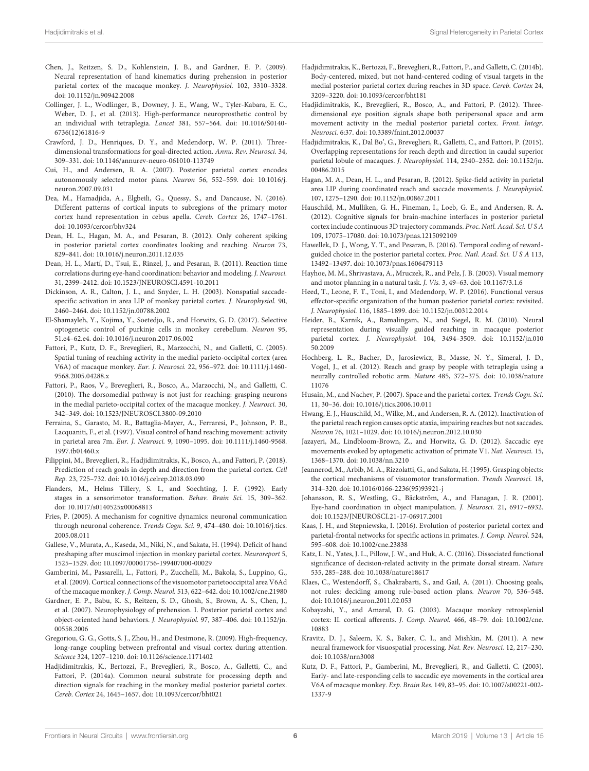- Chen, J., Reitzen, S. D., Kohlenstein, J. B., and Gardner, E. P. (2009). Neural representation of hand kinematics during prehension in posterior parietal cortex of the macaque monkey. J. Neurophysiol. 102, 3310–3328. doi: 10.1152/jn.90942.2008
- Collinger, J. L., Wodlinger, B., Downey, J. E., Wang, W., Tyler-Kabara, E. C., Weber, D. J., et al. (2013). High-performance neuroprosthetic control by an individual with tetraplegia. Lancet 381, 557–564. doi: 10.1016/S0140- 6736(12)61816-9
- Crawford, J. D., Henriques, D. Y., and Medendorp, W. P. (2011). Threedimensional transformations for goal-directed action. Annu. Rev. Neurosci. 34, 309–331. doi: 10.1146/annurev-neuro-061010-113749
- Cui, H., and Andersen, R. A. (2007). Posterior parietal cortex encodes autonomously selected motor plans. Neuron 56, 552–559. doi: 10.1016/j. neuron.2007.09.031
- Dea, M., Hamadjida, A., Elgbeili, G., Quessy, S., and Dancause, N. (2016). Different patterns of cortical inputs to subregions of the primary motor cortex hand representation in cebus apella. Cereb. Cortex 26, 1747–1761. doi: 10.1093/cercor/bhv324
- Dean, H. L., Hagan, M. A., and Pesaran, B. (2012). Only coherent spiking in posterior parietal cortex coordinates looking and reaching. Neuron 73, 829–841. doi: 10.1016/j.neuron.2011.12.035
- Dean, H. L., Martí, D., Tsui, E., Rinzel, J., and Pesaran, B. (2011). Reaction time correlations during eye-hand coordination: behavior and modeling. J. Neurosci. 31, 2399–2412. doi: 10.1523/JNEUROSCI.4591-10.2011
- Dickinson, A. R., Calton, J. L., and Snyder, L. H. (2003). Nonspatial saccadespecific activation in area LIP of monkey parietal cortex. J. Neurophysiol. 90, 2460–2464. doi: 10.1152/jn.00788.2002
- El-Shamayleh, Y., Kojima, Y., Soetedjo, R., and Horwitz, G. D. (2017). Selective optogenetic control of purkinje cells in monkey cerebellum. Neuron 95, 51.e4–62.e4. doi: 10.1016/j.neuron.2017.06.002
- Fattori, P., Kutz, D. F., Breveglieri, R., Marzocchi, N., and Galletti, C. (2005). Spatial tuning of reaching activity in the medial parieto-occipital cortex (area V6A) of macaque monkey. Eur. J. Neurosci. 22, 956–972. doi: 10.1111/j.1460- 9568.2005.04288.x
- Fattori, P., Raos, V., Breveglieri, R., Bosco, A., Marzocchi, N., and Galletti, C. (2010). The dorsomedial pathway is not just for reaching: grasping neurons in the medial parieto-occipital cortex of the macaque monkey. J. Neurosci. 30, 342–349. doi: 10.1523/JNEUROSCI.3800-09.2010
- Ferraina, S., Garasto, M. R., Battaglia-Mayer, A., Ferraresi, P., Johnson, P. B., Lacquaniti, F., et al. (1997). Visual control of hand reaching movement: activity in parietal area 7m. Eur. J. Neurosci. 9, 1090–1095. doi: 10.1111/j.1460-9568. 1997.tb01460.x
- Filippini, M., Breveglieri, R., Hadjidimitrakis, K., Bosco, A., and Fattori, P. (2018). Prediction of reach goals in depth and direction from the parietal cortex. Cell Rep. 23, 725–732. doi: 10.1016/j.celrep.2018.03.090
- Flanders, M., Helms Tillery, S. I., and Soechting, J. F. (1992). Early stages in a sensorimotor transformation. Behav. Brain Sci. 15, 309–362. doi: 10.1017/s0140525x00068813
- Fries, P. (2005). A mechanism for cognitive dynamics: neuronal communication through neuronal coherence. Trends Cogn. Sci. 9, 474–480. doi: 10.1016/j.tics. 2005.08.011
- Gallese, V., Murata, A., Kaseda, M., Niki, N., and Sakata, H. (1994). Deficit of hand preshaping after muscimol injection in monkey parietal cortex. Neuroreport 5, 1525–1529. doi: 10.1097/00001756-199407000-00029
- Gamberini, M., Passarelli, L., Fattori, P., Zucchelli, M., Bakola, S., Luppino, G., et al. (2009). Cortical connections of the visuomotor parietooccipital area V6Ad of the macaque monkey. J. Comp. Neurol. 513, 622–642. doi: 10.1002/cne.21980
- Gardner, E. P., Babu, K. S., Reitzen, S. D., Ghosh, S., Brown, A. S., Chen, J., et al. (2007). Neurophysiology of prehension. I. Posterior parietal cortex and object-oriented hand behaviors. J. Neurophysiol. 97, 387–406. doi: 10.1152/jn. 00558.2006
- Gregoriou, G. G., Gotts, S. J., Zhou, H., and Desimone, R. (2009). High-frequency, long-range coupling between prefrontal and visual cortex during attention. Science 324, 1207–1210. doi: 10.1126/science.1171402
- Hadjidimitrakis, K., Bertozzi, F., Breveglieri, R., Bosco, A., Galletti, C., and Fattori, P. (2014a). Common neural substrate for processing depth and direction signals for reaching in the monkey medial posterior parietal cortex. Cereb. Cortex 24, 1645–1657. doi: 10.1093/cercor/bht021
- Hadjidimitrakis, K., Bertozzi, F., Breveglieri, R., Fattori, P., and Galletti, C. (2014b). Body-centered, mixed, but not hand-centered coding of visual targets in the medial posterior parietal cortex during reaches in 3D space. Cereb. Cortex 24, 3209–3220. doi: 10.1093/cercor/bht181
- Hadjidimitrakis, K., Breveglieri, R., Bosco, A., and Fattori, P. (2012). Threedimensional eye position signals shape both peripersonal space and arm movement activity in the medial posterior parietal cortex. Front. Integr. Neurosci. 6:37. doi: 10.3389/fnint.2012.00037
- Hadjidimitrakis, K., Dal Bo', G., Breveglieri, R., Galletti, C., and Fattori, P. (2015). Overlapping representations for reach depth and direction in caudal superior parietal lobule of macaques. J. Neurophysiol. 114, 2340–2352. doi: 10.1152/jn. 00486.2015
- Hagan, M. A., Dean, H. L., and Pesaran, B. (2012). Spike-field activity in parietal area LIP during coordinated reach and saccade movements. J. Neurophysiol. 107, 1275–1290. doi: 10.1152/jn.00867.2011
- Hauschild, M., Mulliken, G. H., Fineman, I., Loeb, G. E., and Andersen, R. A. (2012). Cognitive signals for brain-machine interfaces in posterior parietal cortex include continuous 3D trajectory commands. Proc. Natl. Acad. Sci. U S A 109, 17075–17080. doi: 10.1073/pnas.1215092109
- Hawellek, D. J., Wong, Y. T., and Pesaran, B. (2016). Temporal coding of rewardguided choice in the posterior parietal cortex. Proc. Natl. Acad. Sci. U S A 113, 13492–13497. doi: 10.1073/pnas.1606479113
- Hayhoe, M. M., Shrivastava, A., Mruczek, R., and Pelz, J. B. (2003). Visual memory and motor planning in a natural task. J. Vis. 3, 49–63. doi: 10.1167/3.1.6
- Heed, T., Leone, F. T., Toni, I., and Medendorp, W. P. (2016). Functional versus effector-specific organization of the human posterior parietal cortex: revisited. J. Neurophysiol. 116, 1885–1899. doi: 10.1152/jn.00312.2014
- Heider, B., Karnik, A., Ramalingam, N., and Siegel, R. M. (2010). Neural representation during visually guided reaching in macaque posterior parietal cortex. J. Neurophysiol. 104, 3494–3509. doi: 10.1152/jn.010 50.2009
- Hochberg, L. R., Bacher, D., Jarosiewicz, B., Masse, N. Y., Simeral, J. D., Vogel, J., et al. (2012). Reach and grasp by people with tetraplegia using a neurally controlled robotic arm. Nature 485, 372–375. doi: 10.1038/nature 11076
- Husain, M., and Nachev, P. (2007). Space and the parietal cortex. Trends Cogn. Sci. 11, 30–36. doi: 10.1016/j.tics.2006.10.011
- Hwang, E. J., Hauschild, M., Wilke, M., and Andersen, R. A. (2012). Inactivation of the parietal reach region causes optic ataxia, impairing reaches but not saccades. Neuron 76, 1021–1029. doi: 10.1016/j.neuron.2012.10.030
- Jazayeri, M., Lindbloom-Brown, Z., and Horwitz, G. D. (2012). Saccadic eye movements evoked by optogenetic activation of primate V1. Nat. Neurosci. 15, 1368–1370. doi: 10.1038/nn.3210
- Jeannerod, M., Arbib, M. A., Rizzolatti, G., and Sakata, H. (1995). Grasping objects: the cortical mechanisms of visuomotor transformation. Trends Neurosci. 18, 314–320. doi: 10.1016/0166-2236(95)93921-j
- Johansson, R. S., Westling, G., Bäckström, A., and Flanagan, J. R. (2001). Eye-hand coordination in object manipulation. J. Neurosci. 21, 6917–6932. doi: 10.1523/JNEUROSCI.21-17-06917.2001
- Kaas, J. H., and Stepniewska, I. (2016). Evolution of posterior parietal cortex and parietal-frontal networks for specific actions in primates. J. Comp. Neurol. 524, 595–608. doi: 10.1002/cne.23838
- Katz, L. N., Yates, J. L., Pillow, J. W., and Huk, A. C. (2016). Dissociated functional significance of decision-related activity in the primate dorsal stream. Nature 535, 285–288. doi: 10.1038/nature18617
- Klaes, C., Westendorff, S., Chakrabarti, S., and Gail, A. (2011). Choosing goals, not rules: deciding among rule-based action plans. Neuron 70, 536–548. doi: 10.1016/j.neuron.2011.02.053
- Kobayashi, Y., and Amaral, D. G. (2003). Macaque monkey retrosplenial cortex: II. cortical afferents. J. Comp. Neurol. 466, 48–79. doi: 10.1002/cne. 10883
- Kravitz, D. J., Saleem, K. S., Baker, C. I., and Mishkin, M. (2011). A new neural framework for visuospatial processing. Nat. Rev. Neurosci. 12, 217–230. doi: 10.1038/nrn3008
- Kutz, D. F., Fattori, P., Gamberini, M., Breveglieri, R., and Galletti, C. (2003). Early- and late-responding cells to saccadic eye movements in the cortical area V6A of macaque monkey. Exp. Brain Res. 149, 83–95. doi: 10.1007/s00221-002- 1337-9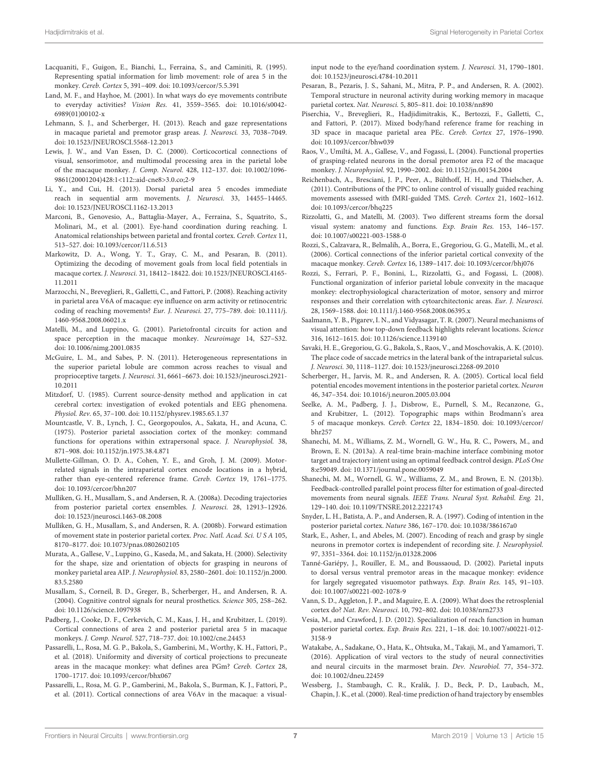- Lacquaniti, F., Guigon, E., Bianchi, L., Ferraina, S., and Caminiti, R. (1995). Representing spatial information for limb movement: role of area 5 in the monkey. Cereb. Cortex 5, 391–409. doi: 10.1093/cercor/5.5.391
- Land, M. F., and Hayhoe, M. (2001). In what ways do eye movements contribute to everyday activities? Vision Res. 41, 3559–3565. doi: 10.1016/s0042- 6989(01)00102-x
- Lehmann, S. J., and Scherberger, H. (2013). Reach and gaze representations in macaque parietal and premotor grasp areas. J. Neurosci. 33, 7038–7049. doi: 10.1523/JNEUROSCI.5568-12.2013
- Lewis, J. W., and Van Essen, D. C. (2000). Corticocortical connections of visual, sensorimotor, and multimodal processing area in the parietal lobe of the macaque monkey. J. Comp. Neurol. 428, 112–137. doi: 10.1002/1096- 9861(20001204)428:1<112::aid-cne8>3.0.co;2-9
- Li, Y., and Cui, H. (2013). Dorsal parietal area 5 encodes immediate reach in sequential arm movements. J. Neurosci. 33, 14455–14465. doi: 10.1523/JNEUROSCI.1162-13.2013
- Marconi, B., Genovesio, A., Battaglia-Mayer, A., Ferraina, S., Squatrito, S., Molinari, M., et al. (2001). Eye-hand coordination during reaching. I. Anatomical relationships between parietal and frontal cortex. Cereb. Cortex 11, 513–527. doi: 10.1093/cercor/11.6.513
- Markowitz, D. A., Wong, Y. T., Gray, C. M., and Pesaran, B. (2011). Optimizing the decoding of movement goals from local field potentials in macaque cortex. J. Neurosci. 31, 18412–18422. doi: 10.1523/JNEUROSCI.4165- 11.2011
- Marzocchi, N., Breveglieri, R., Galletti, C., and Fattori, P. (2008). Reaching activity in parietal area V6A of macaque: eye influence on arm activity or retinocentric coding of reaching movements? Eur. J. Neurosci. 27, 775–789. doi: 10.1111/j. 1460-9568.2008.06021.x
- Matelli, M., and Luppino, G. (2001). Parietofrontal circuits for action and space perception in the macaque monkey. Neuroimage 14, S27–S32. doi: 10.1006/nimg.2001.0835
- McGuire, L. M., and Sabes, P. N. (2011). Heterogeneous representations in the superior parietal lobule are common across reaches to visual and proprioceptive targets. J. Neurosci. 31, 6661–6673. doi: 10.1523/jneurosci.2921- 10.2011
- Mitzdorf, U. (1985). Current source-density method and application in cat cerebral cortex: investigation of evoked potentials and EEG phenomena. Physiol. Rev. 65, 37–100. doi: 10.1152/physrev.1985.65.1.37
- Mountcastle, V. B., Lynch, J. C., Georgopoulos, A., Sakata, H., and Acuna, C. (1975). Posterior parietal association cortex of the monkey: command functions for operations within extrapersonal space. J. Neurophysiol. 38, 871–908. doi: 10.1152/jn.1975.38.4.871
- Mullette-Gillman, O. D. A., Cohen, Y. E., and Groh, J. M. (2009). Motorrelated signals in the intraparietal cortex encode locations in a hybrid, rather than eye-centered reference frame. Cereb. Cortex 19, 1761–1775. doi: 10.1093/cercor/bhn207
- Mulliken, G. H., Musallam, S., and Andersen, R. A. (2008a). Decoding trajectories from posterior parietal cortex ensembles. J. Neurosci. 28, 12913–12926. doi: 10.1523/jneurosci.1463-08.2008
- Mulliken, G. H., Musallam, S., and Andersen, R. A. (2008b). Forward estimation of movement state in posterior parietal cortex. Proc. Natl. Acad. Sci. U S A 105, 8170–8177. doi: 10.1073/pnas.0802602105
- Murata, A., Gallese, V., Luppino, G., Kaseda, M., and Sakata, H. (2000). Selectivity for the shape, size and orientation of objects for grasping in neurons of monkey parietal area AIP. J. Neurophysiol. 83, 2580–2601. doi: 10.1152/jn.2000. 83.5.2580
- Musallam, S., Corneil, B. D., Greger, B., Scherberger, H., and Andersen, R. A. (2004). Cognitive control signals for neural prosthetics. Science 305, 258–262. doi: 10.1126/science.1097938
- Padberg, J., Cooke, D. F., Cerkevich, C. M., Kaas, J. H., and Krubitzer, L. (2019). Cortical connections of area 2 and posterior parietal area 5 in macaque monkeys. J. Comp. Neurol. 527, 718–737. doi: 10.1002/cne.24453
- Passarelli, L., Rosa, M. G. P., Bakola, S., Gamberini, M., Worthy, K. H., Fattori, P., et al. (2018). Uniformity and diversity of cortical projections to precuneate areas in the macaque monkey: what defines area PGm? Cereb. Cortex 28, 1700–1717. doi: 10.1093/cercor/bhx067
- Passarelli, L., Rosa, M. G. P., Gamberini, M., Bakola, S., Burman, K. J., Fattori, P., et al. (2011). Cortical connections of area V6Av in the macaque: a visual-

input node to the eye/hand coordination system. J. Neurosci. 31, 1790–1801. doi: 10.1523/jneurosci.4784-10.2011

- Pesaran, B., Pezaris, J. S., Sahani, M., Mitra, P. P., and Andersen, R. A. (2002). Temporal structure in neuronal activity during working memory in macaque parietal cortex. Nat. Neurosci. 5, 805–811. doi: 10.1038/nn890
- Piserchia, V., Breveglieri, R., Hadjidimitrakis, K., Bertozzi, F., Galletti, C., and Fattori, P. (2017). Mixed body/hand reference frame for reaching in 3D space in macaque parietal area PEc. Cereb. Cortex 27, 1976–1990. doi: 10.1093/cercor/bhw039
- Raos, V., Umiltá, M. A., Gallese, V., and Fogassi, L. (2004). Functional properties of grasping-related neurons in the dorsal premotor area F2 of the macaque monkey. J. Neurophysiol. 92, 1990–2002. doi: 10.1152/jn.00154.2004
- Reichenbach, A., Bresciani, J. P., Peer, A., Bülthoff, H. H., and Thielscher, A. (2011). Contributions of the PPC to online control of visually guided reaching movements assessed with fMRI-guided TMS. Cereb. Cortex 21, 1602–1612. doi: 10.1093/cercor/bhq225
- Rizzolatti, G., and Matelli, M. (2003). Two different streams form the dorsal visual system: anatomy and functions. Exp. Brain Res. 153, 146–157. doi: 10.1007/s00221-003-1588-0
- Rozzi, S., Calzavara, R., Belmalih, A., Borra, E., Gregoriou, G. G., Matelli, M., et al. (2006). Cortical connections of the inferior parietal cortical convexity of the macaque monkey. Cereb. Cortex 16, 1389–1417. doi: 10.1093/cercor/bhj076
- Rozzi, S., Ferrari, P. F., Bonini, L., Rizzolatti, G., and Fogassi, L. (2008). Functional organization of inferior parietal lobule convexity in the macaque monkey: electrophysiological characterization of motor, sensory and mirror responses and their correlation with cytoarchitectonic areas. Eur. J. Neurosci. 28, 1569–1588. doi: 10.1111/j.1460-9568.2008.06395.x
- Saalmann, Y. B., Pigarev, I. N., and Vidyasagar, T. R. (2007). Neural mechanisms of visual attention: how top-down feedback highlights relevant locations. Science 316, 1612–1615. doi: 10.1126/science.1139140
- Savaki, H. E., Gregoriou, G. G., Bakola, S., Raos, V., and Moschovakis, A. K. (2010). The place code of saccade metrics in the lateral bank of the intraparietal sulcus. J. Neurosci. 30, 1118–1127. doi: 10.1523/jneurosci.2268-09.2010
- Scherberger, H., Jarvis, M. R., and Andersen, R. A. (2005). Cortical local field potential encodes movement intentions in the posterior parietal cortex. Neuron 46, 347–354. doi: 10.1016/j.neuron.2005.03.004
- Seelke, A. M., Padberg, J. J., Disbrow, E., Purnell, S. M., Recanzone, G., and Krubitzer, L. (2012). Topographic maps within Brodmann's area 5 of macaque monkeys. Cereb. Cortex 22, 1834–1850. doi: 10.1093/cercor/ bhr257
- Shanechi, M. M., Williams, Z. M., Wornell, G. W., Hu, R. C., Powers, M., and Brown, E. N. (2013a). A real-time brain-machine interface combining motor target and trajectory intent using an optimal feedback control design. PLoS One 8:e59049. doi: 10.1371/journal.pone.0059049
- Shanechi, M. M., Wornell, G. W., Williams, Z. M., and Brown, E. N. (2013b). Feedback-controlled parallel point process filter for estimation of goal-directed movements from neural signals. IEEE Trans. Neural Syst. Rehabil. Eng. 21, 129–140. doi: 10.1109/TNSRE.2012.2221743
- Snyder, L. H., Batista, A. P., and Andersen, R. A. (1997). Coding of intention in the posterior parietal cortex. Nature 386, 167–170. doi: 10.1038/386167a0
- Stark, E., Asher, I., and Abeles, M. (2007). Encoding of reach and grasp by single neurons in premotor cortex is independent of recording site. J. Neurophysiol. 97, 3351–3364. doi: 10.1152/jn.01328.2006
- Tanné-Gariépy, J., Rouiller, E. M., and Boussaoud, D. (2002). Parietal inputs to dorsal versus ventral premotor areas in the macaque monkey: evidence for largely segregated visuomotor pathways. Exp. Brain Res. 145, 91–103. doi: 10.1007/s00221-002-1078-9
- Vann, S. D., Aggleton, J. P., and Maguire, E. A. (2009). What does the retrosplenial cortex do? Nat. Rev. Neurosci. 10, 792–802. doi: 10.1038/nrn2733
- Vesia, M., and Crawford, J. D. (2012). Specialization of reach function in human posterior parietal cortex. Exp. Brain Res. 221, 1–18. doi: 10.1007/s00221-012- 3158-9
- Watakabe, A., Sadakane, O., Hata, K., Ohtsuka, M., Takaji, M., and Yamamori, T. (2016). Application of viral vectors to the study of neural connectivities and neural circuits in the marmoset brain. Dev. Neurobiol. 77, 354–372. doi: 10.1002/dneu.22459
- Wessberg, J., Stambaugh, C. R., Kralik, J. D., Beck, P. D., Laubach, M., Chapin, J. K., et al. (2000). Real-time prediction of hand trajectory by ensembles